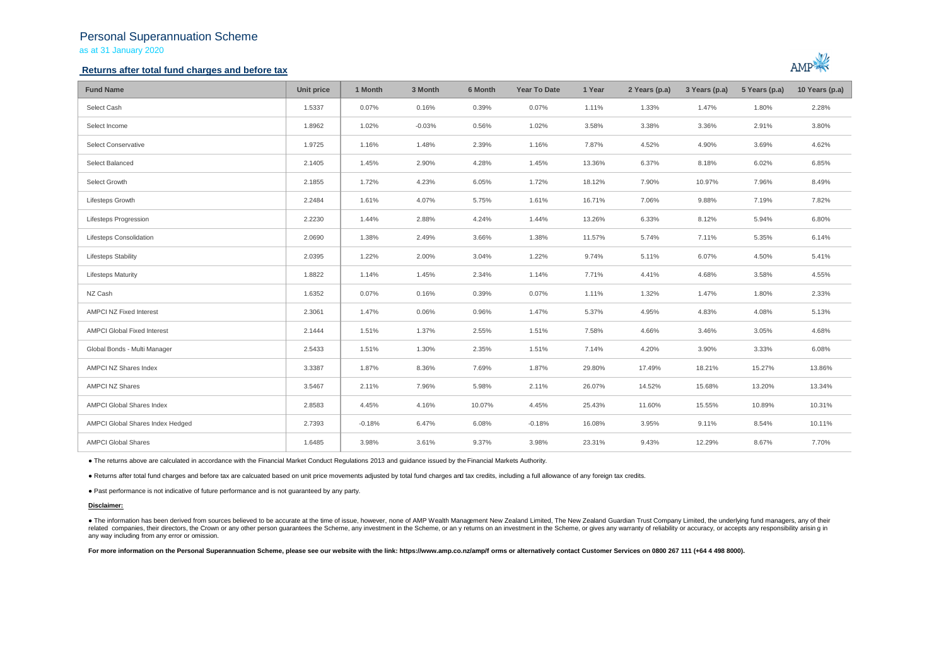# Personal Superannuation Scheme

as at 31 January 2020

## **Returns after total fund charges and before tax**



| <b>Fund Name</b>                   | Unit price | 1 Month  | 3 Month  | 6 Month | <b>Year To Date</b> | 1 Year | 2 Years (p.a) | 3 Years (p.a) | 5 Years (p.a) | 10 Years (p.a) |
|------------------------------------|------------|----------|----------|---------|---------------------|--------|---------------|---------------|---------------|----------------|
| Select Cash                        | 1.5337     | 0.07%    | 0.16%    | 0.39%   | 0.07%               | 1.11%  | 1.33%         | 1.47%         | 1.80%         | 2.28%          |
| Select Income                      | 1.8962     | 1.02%    | $-0.03%$ | 0.56%   | 1.02%               | 3.58%  | 3.38%         | 3.36%         | 2.91%         | 3.80%          |
| Select Conservative                | 1.9725     | 1.16%    | 1.48%    | 2.39%   | 1.16%               | 7.87%  | 4.52%         | 4.90%         | 3.69%         | 4.62%          |
| Select Balanced                    | 2.1405     | 1.45%    | 2.90%    | 4.28%   | 1.45%               | 13.36% | 6.37%         | 8.18%         | 6.02%         | 6.85%          |
| Select Growth                      | 2.1855     | 1.72%    | 4.23%    | 6.05%   | 1.72%               | 18.12% | 7.90%         | 10.97%        | 7.96%         | 8.49%          |
| Lifesteps Growth                   | 2.2484     | 1.61%    | 4.07%    | 5.75%   | 1.61%               | 16.71% | 7.06%         | 9.88%         | 7.19%         | 7.82%          |
| <b>Lifesteps Progression</b>       | 2.2230     | 1.44%    | 2.88%    | 4.24%   | 1.44%               | 13.26% | 6.33%         | 8.12%         | 5.94%         | 6.80%          |
| Lifesteps Consolidation            | 2.0690     | 1.38%    | 2.49%    | 3.66%   | 1.38%               | 11.57% | 5.74%         | 7.11%         | 5.35%         | 6.14%          |
| <b>Lifesteps Stability</b>         | 2.0395     | 1.22%    | 2.00%    | 3.04%   | 1.22%               | 9.74%  | 5.11%         | 6.07%         | 4.50%         | 5.41%          |
| <b>Lifesteps Maturity</b>          | 1.8822     | 1.14%    | 1.45%    | 2.34%   | 1.14%               | 7.71%  | 4.41%         | 4.68%         | 3.58%         | 4.55%          |
| NZ Cash                            | 1.6352     | 0.07%    | 0.16%    | 0.39%   | 0.07%               | 1.11%  | 1.32%         | 1.47%         | 1.80%         | 2.33%          |
| <b>AMPCI NZ Fixed Interest</b>     | 2.3061     | 1.47%    | 0.06%    | 0.96%   | 1.47%               | 5.37%  | 4.95%         | 4.83%         | 4.08%         | 5.13%          |
| <b>AMPCI Global Fixed Interest</b> | 2.1444     | 1.51%    | 1.37%    | 2.55%   | 1.51%               | 7.58%  | 4.66%         | 3.46%         | 3.05%         | 4.68%          |
| Global Bonds - Multi Manager       | 2.5433     | 1.51%    | 1.30%    | 2.35%   | 1.51%               | 7.14%  | 4.20%         | 3.90%         | 3.33%         | 6.08%          |
| AMPCI NZ Shares Index              | 3.3387     | 1.87%    | 8.36%    | 7.69%   | 1.87%               | 29.80% | 17.49%        | 18.21%        | 15.27%        | 13.86%         |
| <b>AMPCI NZ Shares</b>             | 3.5467     | 2.11%    | 7.96%    | 5.98%   | 2.11%               | 26.07% | 14.52%        | 15.68%        | 13.20%        | 13.34%         |
| AMPCI Global Shares Index          | 2.8583     | 4.45%    | 4.16%    | 10.07%  | 4.45%               | 25.43% | 11.60%        | 15.55%        | 10.89%        | 10.31%         |
| AMPCI Global Shares Index Hedged   | 2.7393     | $-0.18%$ | 6.47%    | 6.08%   | $-0.18%$            | 16.08% | 3.95%         | 9.11%         | 8.54%         | 10.11%         |
| <b>AMPCI Global Shares</b>         | 1.6485     | 3.98%    | 3.61%    | 9.37%   | 3.98%               | 23.31% | 9.43%         | 12.29%        | 8.67%         | 7.70%          |

● The returns above are calculated in accordance with the Financial Market Conduct Regulations 2013 and guidance issued by the Financial Markets Authority.

● Returns after total fund charges and before tax are calcuated based on unit price movements adjusted by total fund charges and tax credits, including a full allowance of any foreign tax credits.

● Past performance is not indicative of future performance and is not guaranteed by any party.

#### **Disclaimer:**

. The information has been derived from sources believed to be accurate at the time of issue, however, none of AMP Wealth Management New Zealand Limited, The New Zealand Guardian Trust Company Limited, the underlying fund related companies, their directors, the Crown or any other person quarantees the Scheme, any investment in the Scheme, or any returns on an investment in the Scheme, or qives any warranty of reliability or accuracy, or acc any way including from any error or omission.

For more information on the Personal Superannuation Scheme, please see our website with the link: https://www.amp.co.nz/amp/f orms or alternatively contact Customer Services on 0800 267 111 (+64 4 498 8000).